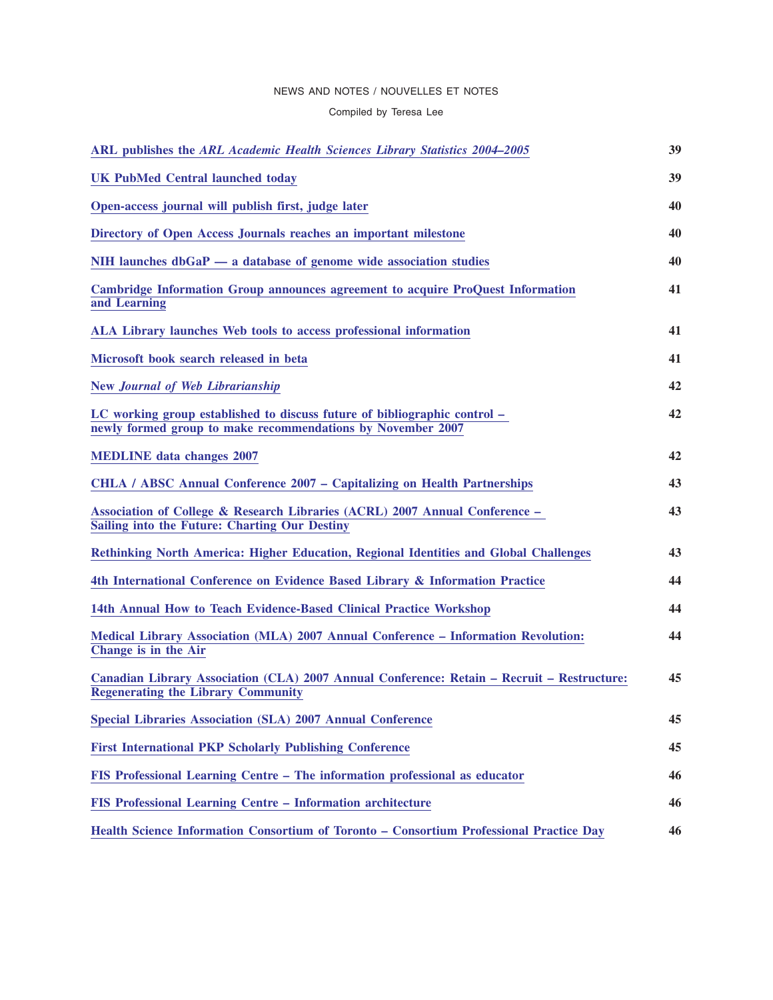## NEWS AND NOTES / NOUVELLES ET NOTES

## Compiled by Teresa Lee

| ARL publishes the ARL Academic Health Sciences Library Statistics 2004–2005                                                              | 39 |
|------------------------------------------------------------------------------------------------------------------------------------------|----|
| <b>UK PubMed Central launched today</b>                                                                                                  | 39 |
| Open-access journal will publish first, judge later                                                                                      | 40 |
| Directory of Open Access Journals reaches an important milestone                                                                         | 40 |
| NIH launches $dbGaP - a$ database of genome wide association studies                                                                     | 40 |
| Cambridge Information Group announces agreement to acquire ProQuest Information<br>and Learning                                          | 41 |
| ALA Library launches Web tools to access professional information                                                                        | 41 |
| Microsoft book search released in beta                                                                                                   | 41 |
| <b>New Journal of Web Librarianship</b>                                                                                                  | 42 |
| LC working group established to discuss future of bibliographic control –<br>newly formed group to make recommendations by November 2007 | 42 |
| <b>MEDLINE</b> data changes 2007                                                                                                         | 42 |
| CHLA / ABSC Annual Conference 2007 – Capitalizing on Health Partnerships                                                                 | 43 |
| Association of College & Research Libraries (ACRL) 2007 Annual Conference -<br>Sailing into the Future: Charting Our Destiny             | 43 |
| <b>Rethinking North America: Higher Education, Regional Identities and Global Challenges</b>                                             | 43 |
| 4th International Conference on Evidence Based Library & Information Practice                                                            | 44 |
| 14th Annual How to Teach Evidence-Based Clinical Practice Workshop                                                                       | 44 |
| <b>Medical Library Association (MLA) 2007 Annual Conference - Information Revolution:</b><br>Change is in the Air                        | 44 |
| Canadian Library Association (CLA) 2007 Annual Conference: Retain - Recruit - Restructure:<br><b>Regenerating the Library Community</b>  | 45 |
| <b>Special Libraries Association (SLA) 2007 Annual Conference</b>                                                                        | 45 |
| <b>First International PKP Scholarly Publishing Conference</b>                                                                           | 45 |
| FIS Professional Learning Centre - The information professional as educator                                                              | 46 |
| FIS Professional Learning Centre - Information architecture                                                                              | 46 |
| Health Science Information Consortium of Toronto - Consortium Professional Practice Day                                                  | 46 |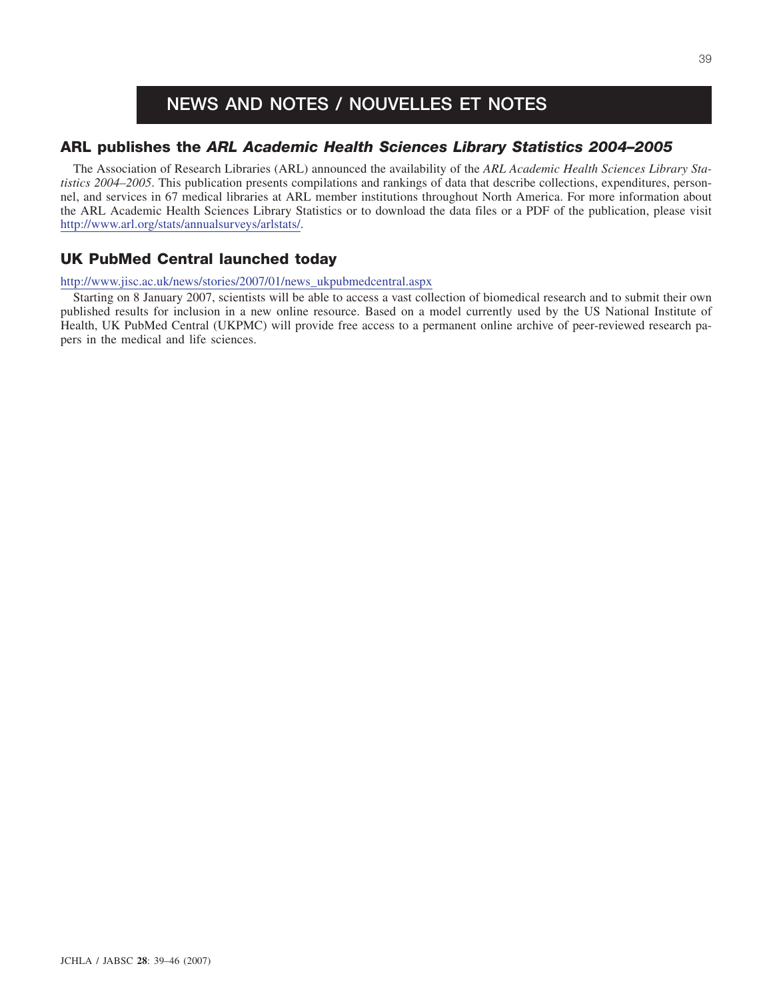# **NEWS AND NOTES / NOUVELLES ET NOTES**

## **ARL publishes the** *ARL Academic Health Sciences Library Statistics 2004–2005*

The Association of Research Libraries (ARL) announced the availability of the *ARL Academic Health Sciences Library Statistics 2004–2005*. This publication presents compilations and rankings of data that describe collections, expenditures, personnel, and services in 67 medical libraries at ARL member institutions throughout North America. For more information about the ARL Academic Health Sciences Library Statistics or to download the data files or a PDF of the publication, please visit <http://www.arl.org/stats/annualsurveys/arlstats/>.

# **UK PubMed Central launched today**

### [http://www.jisc.ac.uk/news/stories/2007/01/news\\_ukpubmedcentral.aspx](http://www.jisc.ac.uk/news/stories/2007/01/news_ukpubmedcentral.aspx)

Starting on 8 January 2007, scientists will be able to access a vast collection of biomedical research and to submit their own published results for inclusion in a new online resource. Based on a model currently used by the US National Institute of Health, UK PubMed Central (UKPMC) will provide free access to a permanent online archive of peer-reviewed research papers in the medical and life sciences.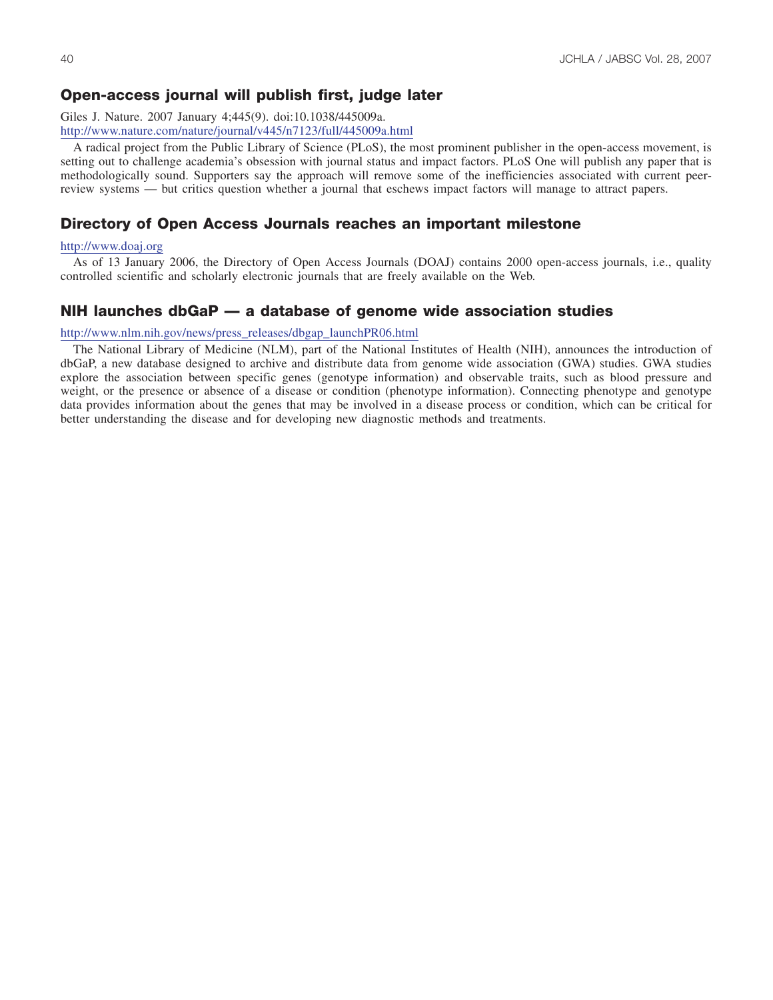### **Open-access journal will publish first, judge later**

Giles J. Nature. 2007 January 4;445(9). doi:10.1038/445009a. <http://www.nature.com/nature/journal/v445/n7123/full/445009a.html>

A radical project from the Public Library of Science (PLoS), the most prominent publisher in the open-access movement, is setting out to challenge academia's obsession with journal status and impact factors. PLoS One will publish any paper that is methodologically sound. Supporters say the approach will remove some of the inefficiencies associated with current peerreview systems — but critics question whether a journal that eschews impact factors will manage to attract papers.

### **Directory of Open Access Journals reaches an important milestone**

#### <http://www.doaj.org>

As of 13 January 2006, the Directory of Open Access Journals (DOAJ) contains 2000 open-access journals, i.e., quality controlled scientific and scholarly electronic journals that are freely available on the Web.

### **NIH launches dbGaP — a database of genome wide association studies**

### [http://www.nlm.nih.gov/news/press\\_releases/dbgap\\_launchPR06.html](http://www.nlm.nih.gov/news/press_releases/dbgap_launchPR06.html)

The National Library of Medicine (NLM), part of the National Institutes of Health (NIH), announces the introduction of dbGaP, a new database designed to archive and distribute data from genome wide association (GWA) studies. GWA studies explore the association between specific genes (genotype information) and observable traits, such as blood pressure and weight, or the presence or absence of a disease or condition (phenotype information). Connecting phenotype and genotype data provides information about the genes that may be involved in a disease process or condition, which can be critical for better understanding the disease and for developing new diagnostic methods and treatments.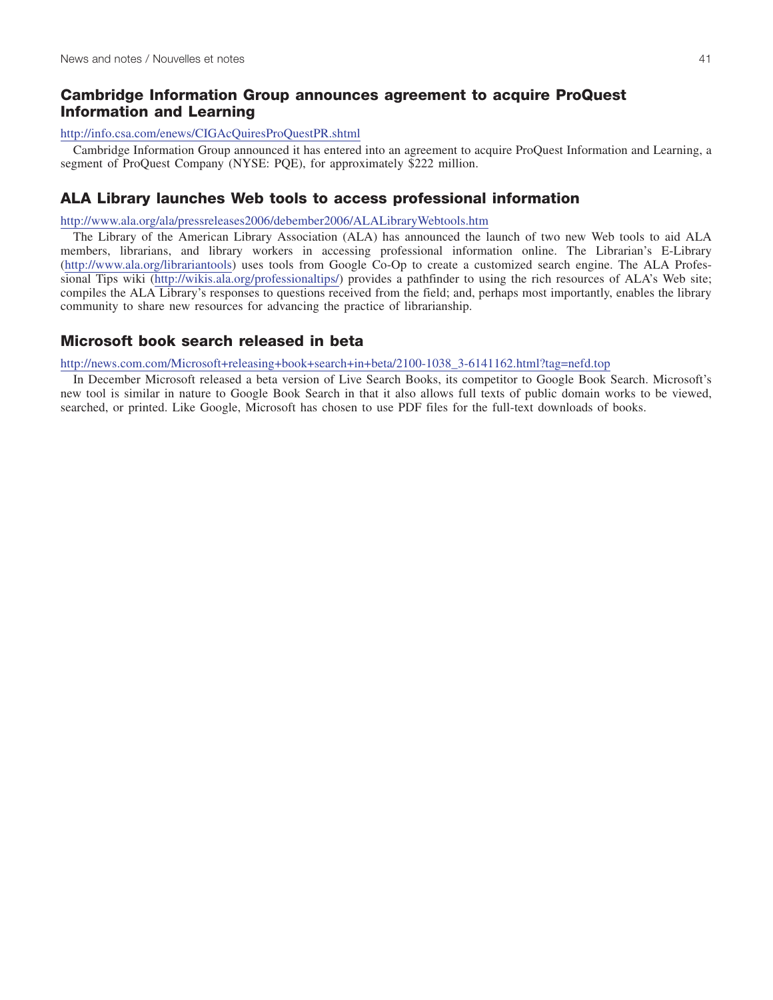## **Cambridge Information Group announces agreement to acquire ProQuest Information and Learning**

<http://info.csa.com/enews/CIGAcQuiresProQuestPR.shtml>

Cambridge Information Group announced it has entered into an agreement to acquire ProQuest Information and Learning, a segment of ProQuest Company (NYSE: PQE), for approximately \$222 million.

## **ALA Library launches Web tools to access professional information**

<http://www.ala.org/ala/pressreleases2006/debember2006/ALALibraryWebtools.htm>

The Library of the American Library Association (ALA) has announced the launch of two new Web tools to aid ALA members, librarians, and library workers in accessing professional information online. The Librarian's E-Library [\(http://www.ala.org/librariantools\)](http://www.ala.org/librariantools) uses tools from Google Co-Op to create a customized search engine. The ALA Professional Tips wiki [\(http://wikis.ala.org/professionaltips/\)](http://wikis.ala.org/professionaltips/) provides a pathfinder to using the rich resources of ALA's Web site; compiles the ALA Library's responses to questions received from the field; and, perhaps most importantly, enables the library community to share new resources for advancing the practice of librarianship.

### **Microsoft book search released in beta**

[http://news.com.com/Microsoft+releasing+book+search+in+beta/2100-1038\\_3-6141162.html?tag=nefd.top](http://news.com.com/Microsoft+releasing+book+search+in+beta/2100-1038_3-6141162.html?tag=nefd.top)

In December Microsoft released a beta version of Live Search Books, its competitor to Google Book Search. Microsoft's new tool is similar in nature to Google Book Search in that it also allows full texts of public domain works to be viewed, searched, or printed. Like Google, Microsoft has chosen to use PDF files for the full-text downloads of books.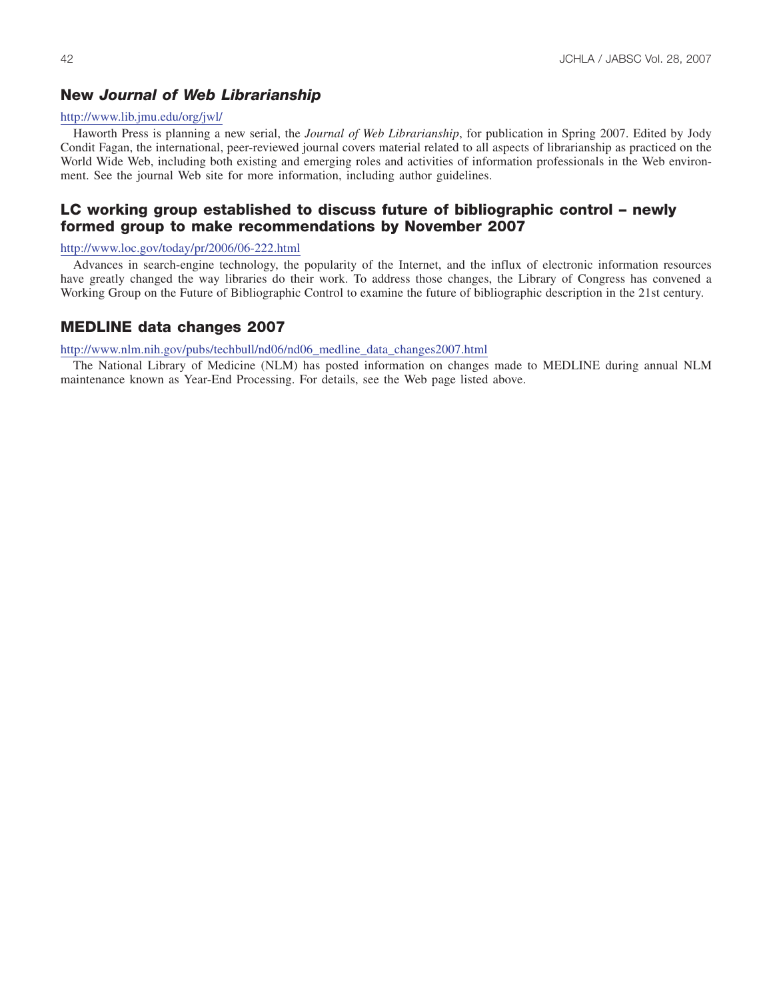## **New** *Journal of Web Librarianship*

### <http://www.lib.jmu.edu/org/jwl/>

Haworth Press is planning a new serial, the *Journal of Web Librarianship*, for publication in Spring 2007. Edited by Jody Condit Fagan, the international, peer-reviewed journal covers material related to all aspects of librarianship as practiced on the World Wide Web, including both existing and emerging roles and activities of information professionals in the Web environment. See the journal Web site for more information, including author guidelines.

## **LC working group established to discuss future of bibliographic control – newly formed group to make recommendations by November 2007**

<http://www.loc.gov/today/pr/2006/06-222.html>

Advances in search-engine technology, the popularity of the Internet, and the influx of electronic information resources have greatly changed the way libraries do their work. To address those changes, the Library of Congress has convened a Working Group on the Future of Bibliographic Control to examine the future of bibliographic description in the 21st century.

### **MEDLINE data changes 2007**

[http://www.nlm.nih.gov/pubs/techbull/nd06/nd06\\_medline\\_data\\_changes2007.html](http://www.nlm.nih.gov/pubs/techbull/nd06/nd06_medline_data_changes2007.html)

The National Library of Medicine (NLM) has posted information on changes made to MEDLINE during annual NLM maintenance known as Year-End Processing. For details, see the Web page listed above.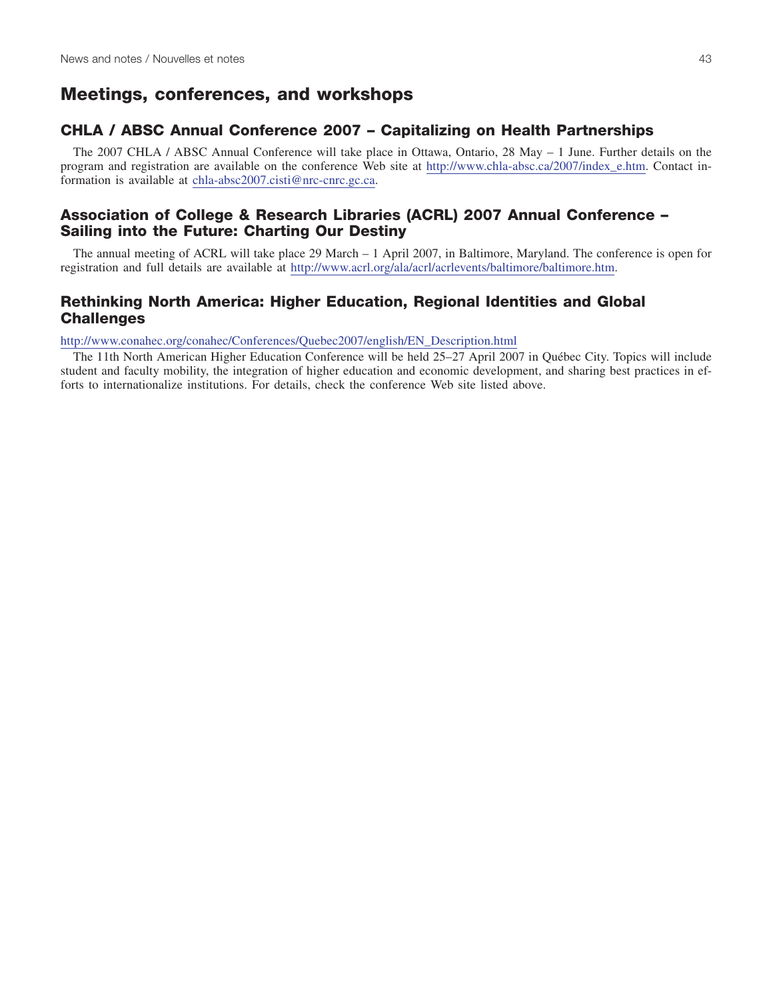# **Meetings, conferences, and workshops**

## **CHLA / ABSC Annual Conference 2007 – Capitalizing on Health Partnerships**

The 2007 CHLA / ABSC Annual Conference will take place in Ottawa, Ontario, 28 May – 1 June. Further details on the program and registration are available on the conference Web site at [http://www.chla-absc.ca/2007/index\\_e.htm](http://www.chla-absc.ca/2007/index_e.htm). Contact information is available at [chla-absc2007.cisti@nrc-cnrc.gc.ca](mailto:chla-absc2007.cisti@nrc-cnrc.gc.ca).

## **Association of College & Research Libraries (ACRL) 2007 Annual Conference – Sailing into the Future: Charting Our Destiny**

The annual meeting of ACRL will take place 29 March – 1 April 2007, in Baltimore, Maryland. The conference is open for registration and full details are available at <http://www.acrl.org/ala/acrl/acrlevents/baltimore/baltimore.htm>.

## **Rethinking North America: Higher Education, Regional Identities and Global Challenges**

#### [http://www.conahec.org/conahec/Conferences/Quebec2007/english/EN\\_Description.html](http://www.conahec.org/conahec/Conferences/Quebec2007/english/EN_Description.html)

The 11th North American Higher Education Conference will be held 25–27 April 2007 in Québec City. Topics will include student and faculty mobility, the integration of higher education and economic development, and sharing best practices in efforts to internationalize institutions. For details, check the conference Web site listed above.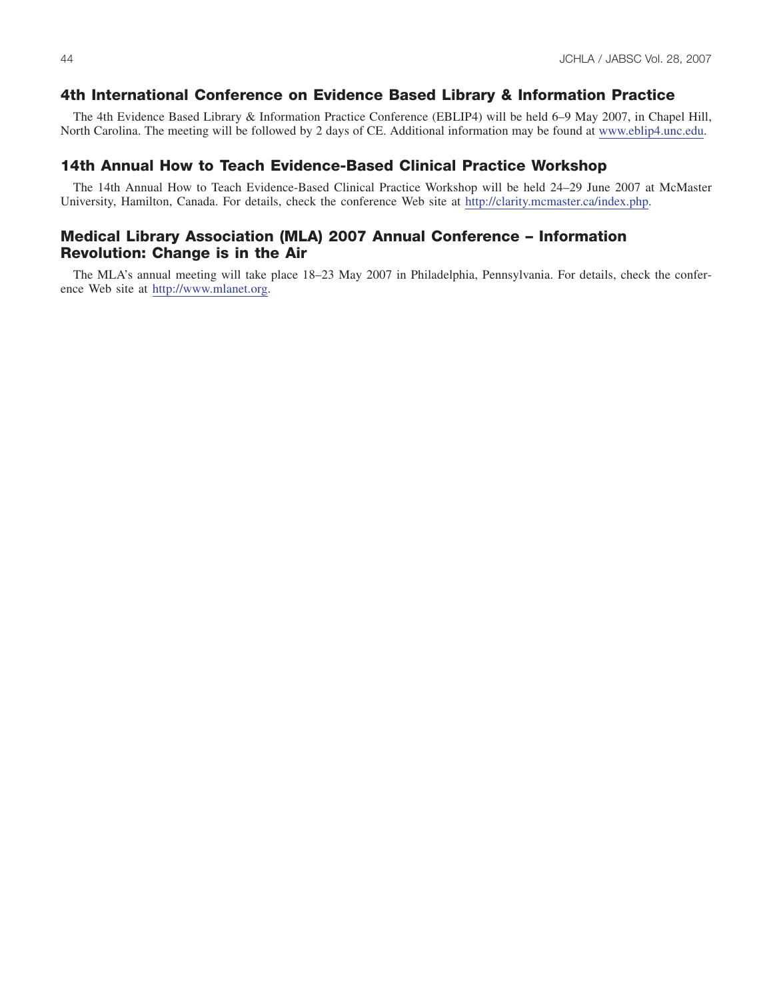## **4th International Conference on Evidence Based Library & Information Practice**

The 4th Evidence Based Library & Information Practice Conference (EBLIP4) will be held 6–9 May 2007, in Chapel Hill, North Carolina. The meeting will be followed by 2 days of CE. Additional information may be found at [www.eblip4.unc.edu.](http://www.eblip4.unc.edu)

# **14th Annual How to Teach Evidence-Based Clinical Practice Workshop**

The 14th Annual How to Teach Evidence-Based Clinical Practice Workshop will be held 24–29 June 2007 at McMaster University, Hamilton, Canada. For details, check the conference Web site at [http://clarity.mcmaster.ca/index.php.](http://clarity.mcmaster.ca/index.php)

## **Medical Library Association (MLA) 2007 Annual Conference – Information Revolution: Change is in the Air**

The MLA's annual meeting will take place 18–23 May 2007 in Philadelphia, Pennsylvania. For details, check the conference Web site at <http://www.mlanet.org>.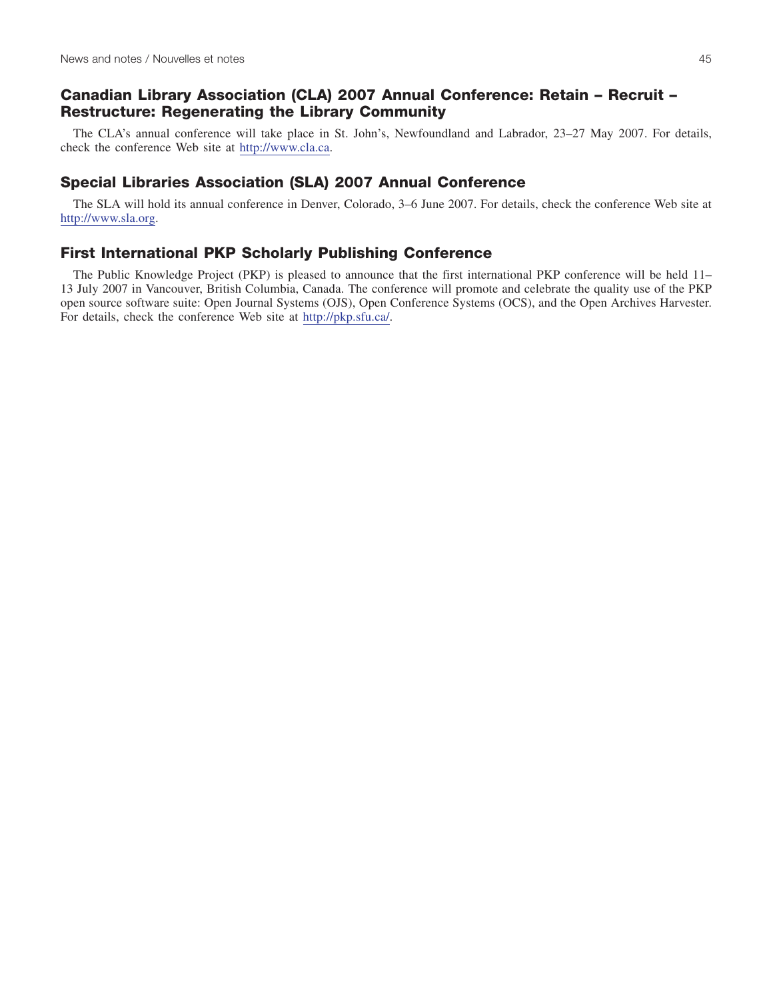## **Canadian Library Association (CLA) 2007 Annual Conference: Retain – Recruit – Restructure: Regenerating the Library Community**

The CLA's annual conference will take place in St. John's, Newfoundland and Labrador, 23–27 May 2007. For details, check the conference Web site at <http://www.cla.ca>.

## **Special Libraries Association (SLA) 2007 Annual Conference**

The SLA will hold its annual conference in Denver, Colorado, 3–6 June 2007. For details, check the conference Web site at <http://www.sla.org>.

## **First International PKP Scholarly Publishing Conference**

The Public Knowledge Project (PKP) is pleased to announce that the first international PKP conference will be held 11– 13 July 2007 in Vancouver, British Columbia, Canada. The conference will promote and celebrate the quality use of the PKP open source software suite: Open Journal Systems (OJS), Open Conference Systems (OCS), and the Open Archives Harvester. For details, check the conference Web site at [http://pkp.sfu.ca/.](http://pkp.sfu.ca/)